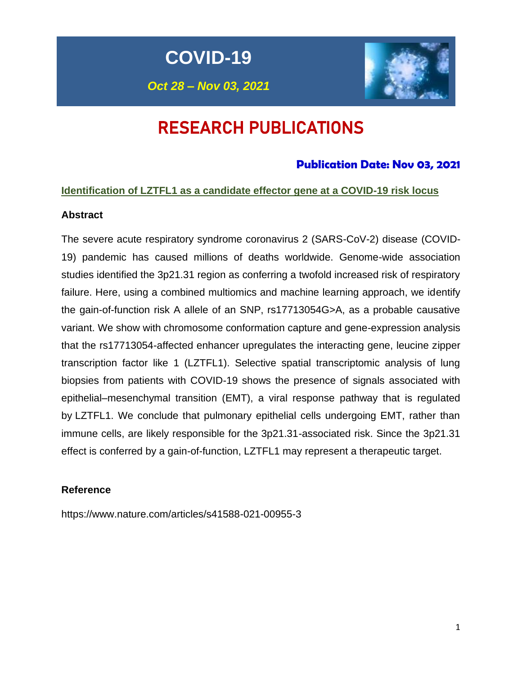# **COVID-19**

*Oct 28 – Nov 03, 2021*



# RESEARCH PUBLICATIONS

# **Publication Date: Nov 03, 2021**

### **Identification of LZTFL1 as a candidate effector gene at a COVID-19 risk locus**

#### **Abstract**

The severe acute respiratory syndrome coronavirus 2 (SARS-CoV-2) disease (COVID-19) pandemic has caused millions of deaths worldwide. Genome-wide association studies identified the 3p21.31 region as conferring a twofold increased risk of respiratory failure. Here, using a combined multiomics and machine learning approach, we identify the gain-of-function risk A allele of an SNP, rs17713054G>A, as a probable causative variant. We show with chromosome conformation capture and gene-expression analysis that the rs17713054-affected enhancer upregulates the interacting gene, leucine zipper transcription factor like 1 (LZTFL1). Selective spatial transcriptomic analysis of lung biopsies from patients with COVID-19 shows the presence of signals associated with epithelial–mesenchymal transition (EMT), a viral response pathway that is regulated by LZTFL1. We conclude that pulmonary epithelial cells undergoing EMT, rather than immune cells, are likely responsible for the 3p21.31-associated risk. Since the 3p21.31 effect is conferred by a gain-of-function, LZTFL1 may represent a therapeutic target.

### **Reference**

https://www.nature.com/articles/s41588-021-00955-3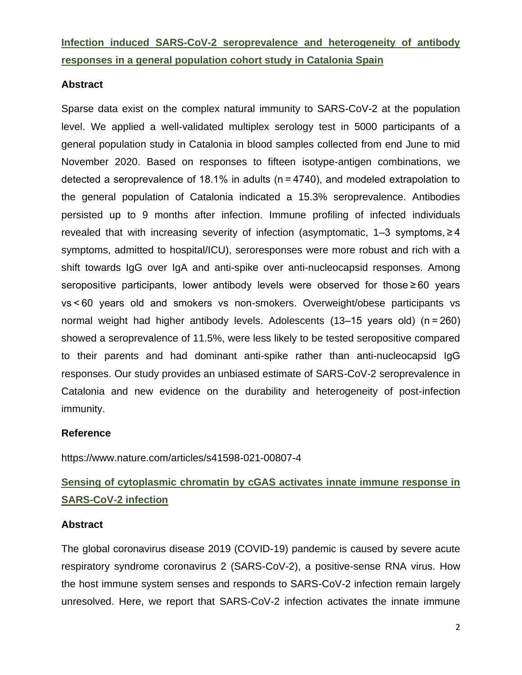**Infection induced SARS-CoV-2 seroprevalence and heterogeneity of antibody responses in a general population cohort study in Catalonia Spain**

### **Abstract**

Sparse data exist on the complex natural immunity to SARS-CoV-2 at the population level. We applied a well-validated multiplex serology test in 5000 participants of a general population study in Catalonia in blood samples collected from end June to mid November 2020. Based on responses to fifteen isotype-antigen combinations, we detected a seroprevalence of 18.1% in adults (n = 4740), and modeled extrapolation to the general population of Catalonia indicated a 15.3% seroprevalence. Antibodies persisted up to 9 months after infection. Immune profiling of infected individuals revealed that with increasing severity of infection (asymptomatic, 1–3 symptoms, ≥ 4 symptoms, admitted to hospital/ICU), seroresponses were more robust and rich with a shift towards IgG over IgA and anti-spike over anti-nucleocapsid responses. Among seropositive participants, lower antibody levels were observed for those ≥60 years vs < 60 years old and smokers vs non-smokers. Overweight/obese participants vs normal weight had higher antibody levels. Adolescents (13–15 years old) (n = 260) showed a seroprevalence of 11.5%, were less likely to be tested seropositive compared to their parents and had dominant anti-spike rather than anti-nucleocapsid IgG responses. Our study provides an unbiased estimate of SARS-CoV-2 seroprevalence in Catalonia and new evidence on the durability and heterogeneity of post-infection immunity.

#### **Reference**

<https://www.nature.com/articles/s41598-021-00807-4>

# **Sensing of cytoplasmic chromatin by cGAS activates innate immune response in SARS-CoV-2 infection**

#### **Abstract**

The global coronavirus disease 2019 (COVID-19) pandemic is caused by severe acute respiratory syndrome coronavirus 2 (SARS-CoV-2), a positive-sense RNA virus. How the host immune system senses and responds to SARS-CoV-2 infection remain largely unresolved. Here, we report that SARS-CoV-2 infection activates the innate immune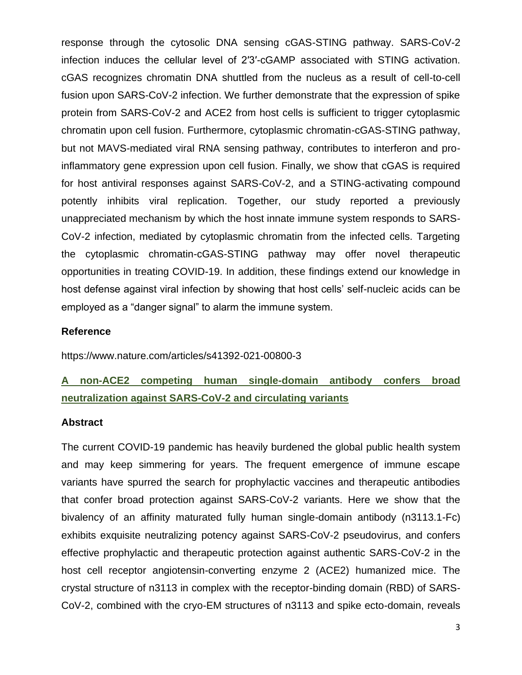response through the cytosolic DNA sensing cGAS-STING pathway. SARS-CoV-2 infection induces the cellular level of 2′3′-cGAMP associated with STING activation. cGAS recognizes chromatin DNA shuttled from the nucleus as a result of cell-to-cell fusion upon SARS-CoV-2 infection. We further demonstrate that the expression of spike protein from SARS-CoV-2 and ACE2 from host cells is sufficient to trigger cytoplasmic chromatin upon cell fusion. Furthermore, cytoplasmic chromatin-cGAS-STING pathway, but not MAVS-mediated viral RNA sensing pathway, contributes to interferon and proinflammatory gene expression upon cell fusion. Finally, we show that cGAS is required for host antiviral responses against SARS-CoV-2, and a STING-activating compound potently inhibits viral replication. Together, our study reported a previously unappreciated mechanism by which the host innate immune system responds to SARS-CoV-2 infection, mediated by cytoplasmic chromatin from the infected cells. Targeting the cytoplasmic chromatin-cGAS-STING pathway may offer novel therapeutic opportunities in treating COVID-19. In addition, these findings extend our knowledge in host defense against viral infection by showing that host cells' self-nucleic acids can be employed as a "danger signal" to alarm the immune system.

### **Reference**

https://www.nature.com/articles/s41392-021-00800-3

# **A non-ACE2 competing human single-domain antibody confers broad neutralization against SARS-CoV-2 and circulating variants**

#### **Abstract**

The current COVID-19 pandemic has heavily burdened the global public health system and may keep simmering for years. The frequent emergence of immune escape variants have spurred the search for prophylactic vaccines and therapeutic antibodies that confer broad protection against SARS-CoV-2 variants. Here we show that the bivalency of an affinity maturated fully human single-domain antibody (n3113.1-Fc) exhibits exquisite neutralizing potency against SARS-CoV-2 pseudovirus, and confers effective prophylactic and therapeutic protection against authentic SARS-CoV-2 in the host cell receptor angiotensin-converting enzyme 2 (ACE2) humanized mice. The crystal structure of n3113 in complex with the receptor-binding domain (RBD) of SARS-CoV-2, combined with the cryo-EM structures of n3113 and spike ecto-domain, reveals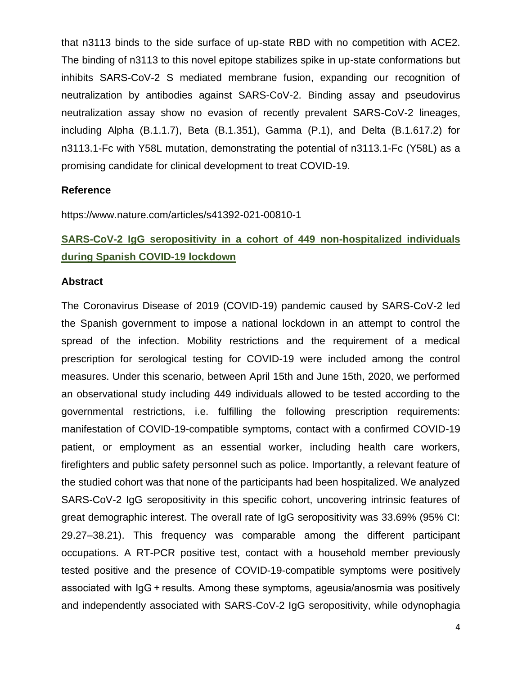that n3113 binds to the side surface of up-state RBD with no competition with ACE2. The binding of n3113 to this novel epitope stabilizes spike in up-state conformations but inhibits SARS-CoV-2 S mediated membrane fusion, expanding our recognition of neutralization by antibodies against SARS-CoV-2. Binding assay and pseudovirus neutralization assay show no evasion of recently prevalent SARS-CoV-2 lineages, including Alpha (B.1.1.7), Beta (B.1.351), Gamma (P.1), and Delta (B.1.617.2) for n3113.1-Fc with Y58L mutation, demonstrating the potential of n3113.1-Fc (Y58L) as a promising candidate for clinical development to treat COVID-19.

#### **Reference**

https://www.nature.com/articles/s41392-021-00810-1

# **SARS-CoV-2 IgG seropositivity in a cohort of 449 non-hospitalized individuals during Spanish COVID-19 lockdown**

#### **Abstract**

The Coronavirus Disease of 2019 (COVID-19) pandemic caused by SARS-CoV-2 led the Spanish government to impose a national lockdown in an attempt to control the spread of the infection. Mobility restrictions and the requirement of a medical prescription for serological testing for COVID-19 were included among the control measures. Under this scenario, between April 15th and June 15th, 2020, we performed an observational study including 449 individuals allowed to be tested according to the governmental restrictions, i.e. fulfilling the following prescription requirements: manifestation of COVID-19-compatible symptoms, contact with a confirmed COVID-19 patient, or employment as an essential worker, including health care workers, firefighters and public safety personnel such as police. Importantly, a relevant feature of the studied cohort was that none of the participants had been hospitalized. We analyzed SARS-CoV-2 IgG seropositivity in this specific cohort, uncovering intrinsic features of great demographic interest. The overall rate of IgG seropositivity was 33.69% (95% CI: 29.27–38.21). This frequency was comparable among the different participant occupations. A RT-PCR positive test, contact with a household member previously tested positive and the presence of COVID-19-compatible symptoms were positively associated with IgG + results. Among these symptoms, ageusia/anosmia was positively and independently associated with SARS-CoV-2 IgG seropositivity, while odynophagia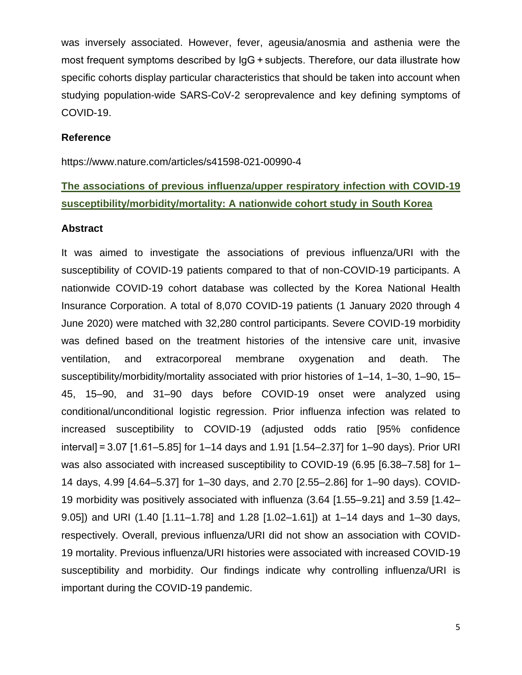was inversely associated. However, fever, ageusia/anosmia and asthenia were the most frequent symptoms described by IgG + subjects. Therefore, our data illustrate how specific cohorts display particular characteristics that should be taken into account when studying population-wide SARS-CoV-2 seroprevalence and key defining symptoms of COVID-19.

#### **Reference**

https://www.nature.com/articles/s41598-021-00990-4

# **The associations of previous influenza/upper respiratory infection with COVID-19 susceptibility/morbidity/mortality: A nationwide cohort study in South Korea**

#### **Abstract**

It was aimed to investigate the associations of previous influenza/URI with the susceptibility of COVID-19 patients compared to that of non-COVID-19 participants. A nationwide COVID-19 cohort database was collected by the Korea National Health Insurance Corporation. A total of 8,070 COVID-19 patients (1 January 2020 through 4 June 2020) were matched with 32,280 control participants. Severe COVID-19 morbidity was defined based on the treatment histories of the intensive care unit, invasive ventilation, and extracorporeal membrane oxygenation and death. The susceptibility/morbidity/mortality associated with prior histories of 1–14, 1–30, 1–90, 15– 45, 15–90, and 31–90 days before COVID-19 onset were analyzed using conditional/unconditional logistic regression. Prior influenza infection was related to increased susceptibility to COVID-19 (adjusted odds ratio [95% confidence interval] = 3.07 [1.61–5.85] for 1–14 days and 1.91 [1.54–2.37] for 1–90 days). Prior URI was also associated with increased susceptibility to COVID-19 (6.95 [6.38–7.58] for 1– 14 days, 4.99 [4.64–5.37] for 1–30 days, and 2.70 [2.55–2.86] for 1–90 days). COVID-19 morbidity was positively associated with influenza (3.64 [1.55–9.21] and 3.59 [1.42– 9.05]) and URI (1.40 [1.11–1.78] and 1.28 [1.02–1.61]) at 1–14 days and 1–30 days, respectively. Overall, previous influenza/URI did not show an association with COVID-19 mortality. Previous influenza/URI histories were associated with increased COVID-19 susceptibility and morbidity. Our findings indicate why controlling influenza/URI is important during the COVID-19 pandemic.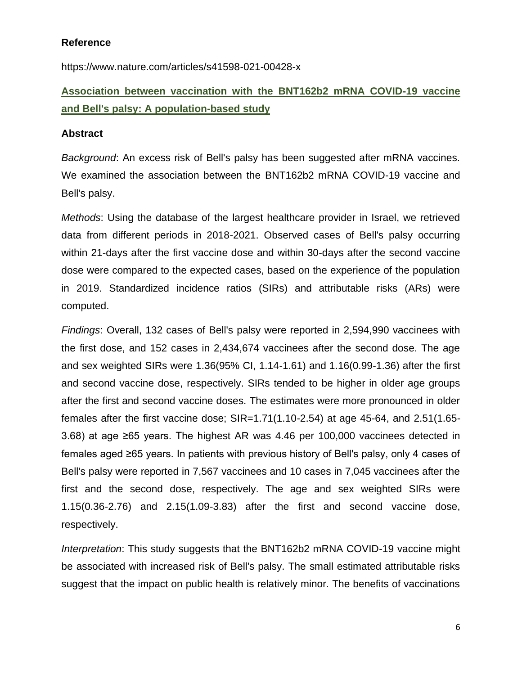### **Reference**

https://www.nature.com/articles/s41598-021-00428-x

# **Association between vaccination with the BNT162b2 mRNA COVID-19 vaccine and Bell's palsy: A population-based study**

#### **Abstract**

*Background*: An excess risk of Bell's palsy has been suggested after mRNA vaccines. We examined the association between the BNT162b2 mRNA COVID-19 vaccine and Bell's palsy.

*Methods*: Using the database of the largest healthcare provider in Israel, we retrieved data from different periods in 2018-2021. Observed cases of Bell's palsy occurring within 21-days after the first vaccine dose and within 30-days after the second vaccine dose were compared to the expected cases, based on the experience of the population in 2019. Standardized incidence ratios (SIRs) and attributable risks (ARs) were computed.

*Findings*: Overall, 132 cases of Bell's palsy were reported in 2,594,990 vaccinees with the first dose, and 152 cases in 2,434,674 vaccinees after the second dose. The age and sex weighted SIRs were 1.36(95% CI, 1.14-1.61) and 1.16(0.99-1.36) after the first and second vaccine dose, respectively. SIRs tended to be higher in older age groups after the first and second vaccine doses. The estimates were more pronounced in older females after the first vaccine dose;  $SIR=1.71(1.10-2.54)$  at age 45-64, and 2.51(1.65-3.68) at age ≥65 years. The highest AR was 4.46 per 100,000 vaccinees detected in females aged ≥65 years. In patients with previous history of Bell's palsy, only 4 cases of Bell's palsy were reported in 7,567 vaccinees and 10 cases in 7,045 vaccinees after the first and the second dose, respectively. The age and sex weighted SIRs were 1.15(0.36-2.76) and 2.15(1.09-3.83) after the first and second vaccine dose, respectively.

*Interpretation*: This study suggests that the BNT162b2 mRNA COVID-19 vaccine might be associated with increased risk of Bell's palsy. The small estimated attributable risks suggest that the impact on public health is relatively minor. The benefits of vaccinations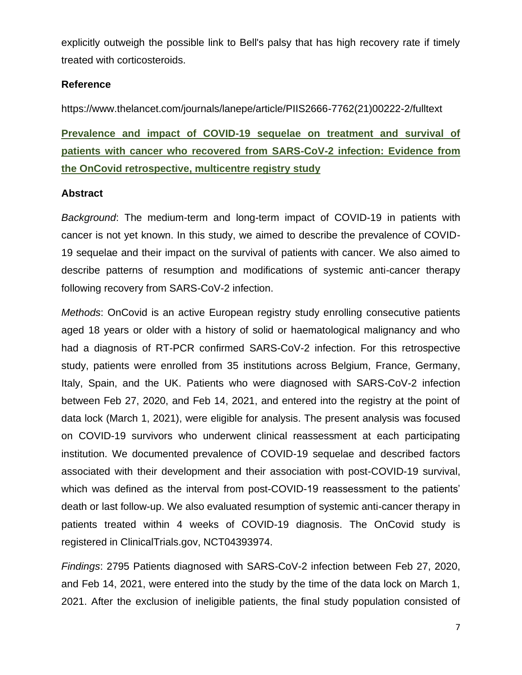explicitly outweigh the possible link to Bell's palsy that has high recovery rate if timely treated with corticosteroids.

### **Reference**

https://www.thelancet.com/journals/lanepe/article/PIIS2666-7762(21)00222-2/fulltext

**Prevalence and impact of COVID-19 sequelae on treatment and survival of patients with cancer who recovered from SARS-CoV-2 infection: Evidence from the OnCovid retrospective, multicentre registry study**

#### **Abstract**

*Background*: The medium-term and long-term impact of COVID-19 in patients with cancer is not yet known. In this study, we aimed to describe the prevalence of COVID-19 sequelae and their impact on the survival of patients with cancer. We also aimed to describe patterns of resumption and modifications of systemic anti-cancer therapy following recovery from SARS-CoV-2 infection.

*Methods*: OnCovid is an active European registry study enrolling consecutive patients aged 18 years or older with a history of solid or haematological malignancy and who had a diagnosis of RT-PCR confirmed SARS-CoV-2 infection. For this retrospective study, patients were enrolled from 35 institutions across Belgium, France, Germany, Italy, Spain, and the UK. Patients who were diagnosed with SARS-CoV-2 infection between Feb 27, 2020, and Feb 14, 2021, and entered into the registry at the point of data lock (March 1, 2021), were eligible for analysis. The present analysis was focused on COVID-19 survivors who underwent clinical reassessment at each participating institution. We documented prevalence of COVID-19 sequelae and described factors associated with their development and their association with post-COVID-19 survival, which was defined as the interval from post-COVID-19 reassessment to the patients' death or last follow-up. We also evaluated resumption of systemic anti-cancer therapy in patients treated within 4 weeks of COVID-19 diagnosis. The OnCovid study is registered in ClinicalTrials.gov, NCT04393974.

*Findings*: 2795 Patients diagnosed with SARS-CoV-2 infection between Feb 27, 2020, and Feb 14, 2021, were entered into the study by the time of the data lock on March 1, 2021. After the exclusion of ineligible patients, the final study population consisted of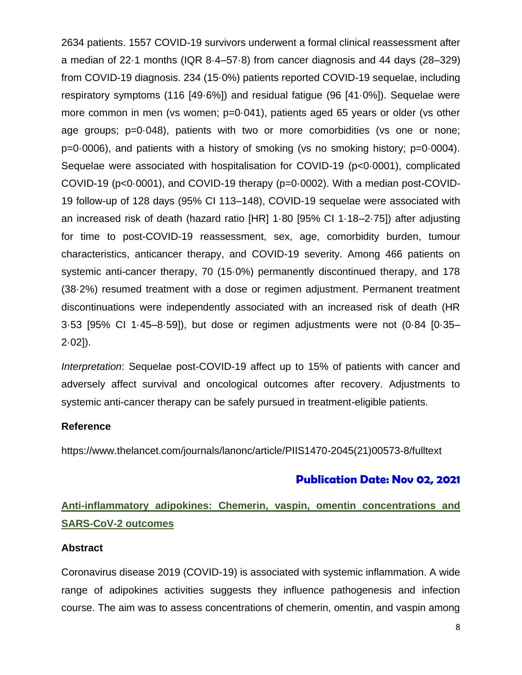2634 patients. 1557 COVID-19 survivors underwent a formal clinical reassessment after a median of 22·1 months (IQR 8·4–57·8) from cancer diagnosis and 44 days (28–329) from COVID-19 diagnosis. 234 (15·0%) patients reported COVID-19 sequelae, including respiratory symptoms (116 [49·6%]) and residual fatigue (96 [41·0%]). Sequelae were more common in men (vs women; p=0.041), patients aged 65 years or older (vs other age groups; p=0·048), patients with two or more comorbidities (vs one or none; p=0·0006), and patients with a history of smoking (vs no smoking history; p=0·0004). Sequelae were associated with hospitalisation for COVID-19 (p<0·0001), complicated COVID-19 (p<0·0001), and COVID-19 therapy (p=0·0002). With a median post-COVID-19 follow-up of 128 days (95% CI 113–148), COVID-19 sequelae were associated with an increased risk of death (hazard ratio [HR] 1·80 [95% CI 1·18–2·75]) after adjusting for time to post-COVID-19 reassessment, sex, age, comorbidity burden, tumour characteristics, anticancer therapy, and COVID-19 severity. Among 466 patients on systemic anti-cancer therapy, 70 (15·0%) permanently discontinued therapy, and 178 (38·2%) resumed treatment with a dose or regimen adjustment. Permanent treatment discontinuations were independently associated with an increased risk of death (HR 3·53 [95% CI 1·45–8·59]), but dose or regimen adjustments were not (0·84 [0·35– 2·02]).

*Interpretation*: Sequelae post-COVID-19 affect up to 15% of patients with cancer and adversely affect survival and oncological outcomes after recovery. Adjustments to systemic anti-cancer therapy can be safely pursued in treatment-eligible patients.

### **Reference**

https://www.thelancet.com/journals/lanonc/article/PIIS1470-2045(21)00573-8/fulltext

# **Publication Date: Nov 02, 2021**

# **Anti-inflammatory adipokines: Chemerin, vaspin, omentin concentrations and SARS-CoV-2 outcomes**

### **Abstract**

Coronavirus disease 2019 (COVID-19) is associated with systemic inflammation. A wide range of adipokines activities suggests they influence pathogenesis and infection course. The aim was to assess concentrations of chemerin, omentin, and vaspin among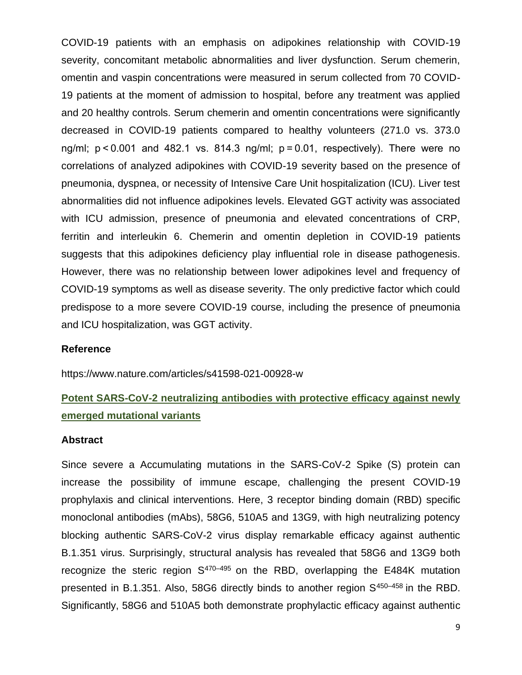COVID-19 patients with an emphasis on adipokines relationship with COVID-19 severity, concomitant metabolic abnormalities and liver dysfunction. Serum chemerin, omentin and vaspin concentrations were measured in serum collected from 70 COVID-19 patients at the moment of admission to hospital, before any treatment was applied and 20 healthy controls. Serum chemerin and omentin concentrations were significantly decreased in COVID-19 patients compared to healthy volunteers (271.0 vs. 373.0 ng/ml;  $p < 0.001$  and 482.1 vs. 814.3 ng/ml;  $p = 0.01$ , respectively). There were no correlations of analyzed adipokines with COVID-19 severity based on the presence of pneumonia, dyspnea, or necessity of Intensive Care Unit hospitalization (ICU). Liver test abnormalities did not influence adipokines levels. Elevated GGT activity was associated with ICU admission, presence of pneumonia and elevated concentrations of CRP, ferritin and interleukin 6. Chemerin and omentin depletion in COVID-19 patients suggests that this adipokines deficiency play influential role in disease pathogenesis. However, there was no relationship between lower adipokines level and frequency of COVID-19 symptoms as well as disease severity. The only predictive factor which could predispose to a more severe COVID-19 course, including the presence of pneumonia and ICU hospitalization, was GGT activity.

#### **Reference**

https://www.nature.com/articles/s41598-021-00928-w

# **Potent SARS-CoV-2 neutralizing antibodies with protective efficacy against newly emerged mutational variants**

#### **Abstract**

Since severe a Accumulating mutations in the SARS-CoV-2 Spike (S) protein can increase the possibility of immune escape, challenging the present COVID-19 prophylaxis and clinical interventions. Here, 3 receptor binding domain (RBD) specific monoclonal antibodies (mAbs), 58G6, 510A5 and 13G9, with high neutralizing potency blocking authentic SARS-CoV-2 virus display remarkable efficacy against authentic B.1.351 virus. Surprisingly, structural analysis has revealed that 58G6 and 13G9 both recognize the steric region  $S^{470-495}$  on the RBD, overlapping the E484K mutation presented in B.1.351. Also, 58G6 directly binds to another region S<sup>450–458</sup> in the RBD. Significantly, 58G6 and 510A5 both demonstrate prophylactic efficacy against authentic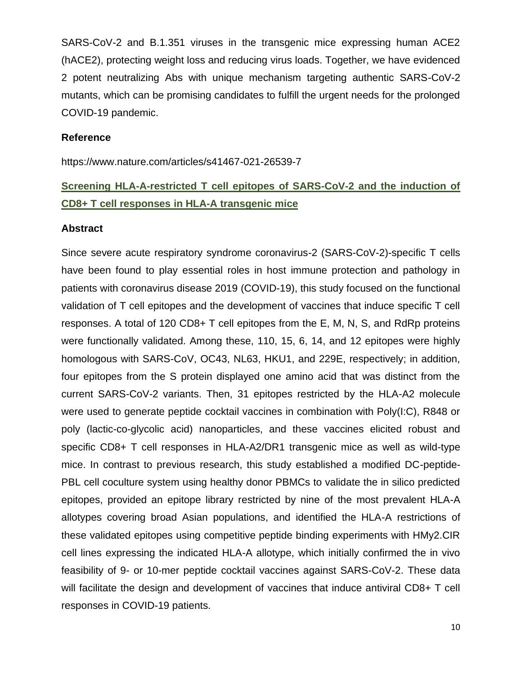SARS-CoV-2 and B.1.351 viruses in the transgenic mice expressing human ACE2 (hACE2), protecting weight loss and reducing virus loads. Together, we have evidenced 2 potent neutralizing Abs with unique mechanism targeting authentic SARS-CoV-2 mutants, which can be promising candidates to fulfill the urgent needs for the prolonged COVID-19 pandemic.

#### **Reference**

https://www.nature.com/articles/s41467-021-26539-7

# **Screening HLA-A-restricted T cell epitopes of SARS-CoV-2 and the induction of CD8+ T cell responses in HLA-A transgenic mice**

#### **Abstract**

Since severe acute respiratory syndrome coronavirus-2 (SARS-CoV-2)-specific T cells have been found to play essential roles in host immune protection and pathology in patients with coronavirus disease 2019 (COVID-19), this study focused on the functional validation of T cell epitopes and the development of vaccines that induce specific T cell responses. A total of 120 CD8+ T cell epitopes from the E, M, N, S, and RdRp proteins were functionally validated. Among these, 110, 15, 6, 14, and 12 epitopes were highly homologous with SARS-CoV, OC43, NL63, HKU1, and 229E, respectively; in addition, four epitopes from the S protein displayed one amino acid that was distinct from the current SARS-CoV-2 variants. Then, 31 epitopes restricted by the HLA-A2 molecule were used to generate peptide cocktail vaccines in combination with Poly(I:C), R848 or poly (lactic-co-glycolic acid) nanoparticles, and these vaccines elicited robust and specific CD8+ T cell responses in HLA-A2/DR1 transgenic mice as well as wild-type mice. In contrast to previous research, this study established a modified DC-peptide-PBL cell coculture system using healthy donor PBMCs to validate the in silico predicted epitopes, provided an epitope library restricted by nine of the most prevalent HLA-A allotypes covering broad Asian populations, and identified the HLA-A restrictions of these validated epitopes using competitive peptide binding experiments with HMy2.CIR cell lines expressing the indicated HLA-A allotype, which initially confirmed the in vivo feasibility of 9- or 10-mer peptide cocktail vaccines against SARS-CoV-2. These data will facilitate the design and development of vaccines that induce antiviral CD8+ T cell responses in COVID-19 patients.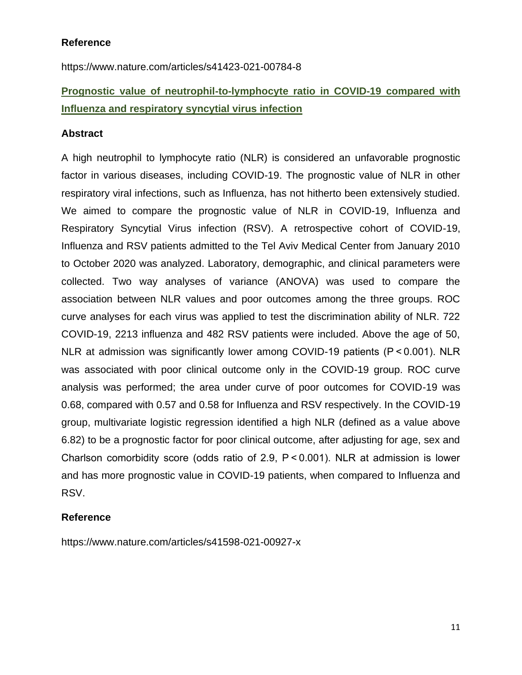### **Reference**

https://www.nature.com/articles/s41423-021-00784-8

# **Prognostic value of neutrophil-to-lymphocyte ratio in COVID-19 compared with Influenza and respiratory syncytial virus infection**

### **Abstract**

A high neutrophil to lymphocyte ratio (NLR) is considered an unfavorable prognostic factor in various diseases, including COVID-19. The prognostic value of NLR in other respiratory viral infections, such as Influenza, has not hitherto been extensively studied. We aimed to compare the prognostic value of NLR in COVID-19, Influenza and Respiratory Syncytial Virus infection (RSV). A retrospective cohort of COVID-19, Influenza and RSV patients admitted to the Tel Aviv Medical Center from January 2010 to October 2020 was analyzed. Laboratory, demographic, and clinical parameters were collected. Two way analyses of variance (ANOVA) was used to compare the association between NLR values and poor outcomes among the three groups. ROC curve analyses for each virus was applied to test the discrimination ability of NLR. 722 COVID-19, 2213 influenza and 482 RSV patients were included. Above the age of 50, NLR at admission was significantly lower among COVID-19 patients (P < 0.001). NLR was associated with poor clinical outcome only in the COVID-19 group. ROC curve analysis was performed; the area under curve of poor outcomes for COVID-19 was 0.68, compared with 0.57 and 0.58 for Influenza and RSV respectively. In the COVID-19 group, multivariate logistic regression identified a high NLR (defined as a value above 6.82) to be a prognostic factor for poor clinical outcome, after adjusting for age, sex and Charlson comorbidity score (odds ratio of 2.9, P < 0.001). NLR at admission is lower and has more prognostic value in COVID-19 patients, when compared to Influenza and RSV.

### **Reference**

https://www.nature.com/articles/s41598-021-00927-x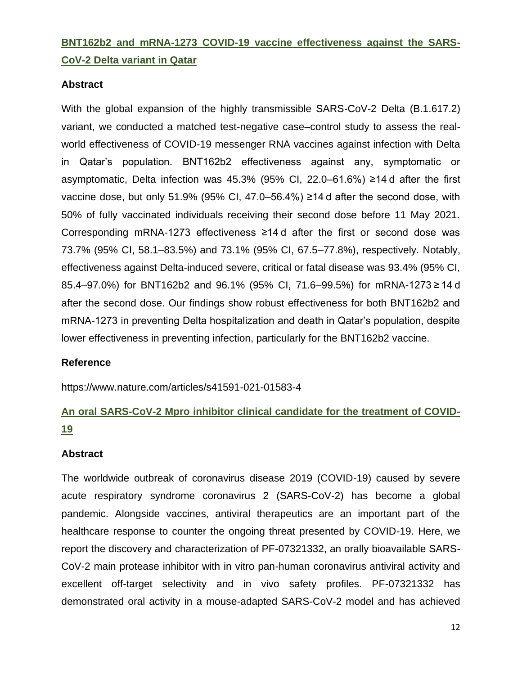# **BNT162b2 and mRNA-1273 COVID-19 vaccine effectiveness against the SARS-CoV-2 Delta variant in Qatar**

### **Abstract**

With the global expansion of the highly transmissible SARS-CoV-2 Delta (B.1.617.2) variant, we conducted a matched test-negative case–control study to assess the realworld effectiveness of COVID-19 messenger RNA vaccines against infection with Delta in Qatar's population. BNT162b2 effectiveness against any, symptomatic or asymptomatic, Delta infection was 45.3% (95% CI, 22.0–61.6%) ≥14 d after the first vaccine dose, but only 51.9% (95% CI, 47.0–56.4%) ≥14 $d$  after the second dose, with 50% of fully vaccinated individuals receiving their second dose before 11 May 2021. Corresponding mRNA-1273 effectiveness ≥14 d after the first or second dose was 73.7% (95% CI, 58.1–83.5%) and 73.1% (95% CI, 67.5–77.8%), respectively. Notably, effectiveness against Delta-induced severe, critical or fatal disease was 93.4% (95% CI, 85.4–97.0%) for BNT162b2 and 96.1% (95% CI, 71.6–99.5%) for mRNA-1273 ≥ 14 d after the second dose. Our findings show robust effectiveness for both BNT162b2 and mRNA-1273 in preventing Delta hospitalization and death in Qatar's population, despite lower effectiveness in preventing infection, particularly for the BNT162b2 vaccine.

### **Reference**

https://www.nature.com/articles/s41591-021-01583-4

# **An oral SARS-CoV-2 Mpro inhibitor clinical candidate for the treatment of COVID-19**

### **Abstract**

The worldwide outbreak of coronavirus disease 2019 (COVID-19) caused by severe acute respiratory syndrome coronavirus 2 (SARS-CoV-2) has become a global pandemic. Alongside vaccines, antiviral therapeutics are an important part of the healthcare response to counter the ongoing threat presented by COVID-19. Here, we report the discovery and characterization of PF-07321332, an orally bioavailable SARS-CoV-2 main protease inhibitor with in vitro pan-human coronavirus antiviral activity and excellent off-target selectivity and in vivo safety profiles. PF-07321332 has demonstrated oral activity in a mouse-adapted SARS-CoV-2 model and has achieved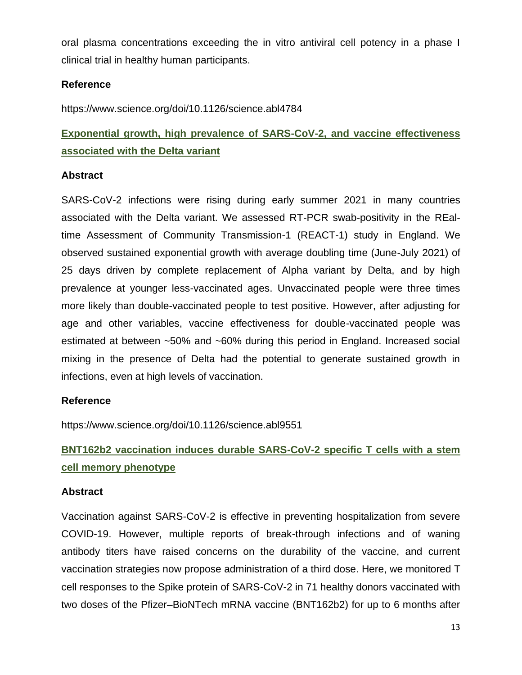oral plasma concentrations exceeding the in vitro antiviral cell potency in a phase I clinical trial in healthy human participants.

# **Reference**

https://www.science.org/doi/10.1126/science.abl4784

**Exponential growth, high prevalence of SARS-CoV-2, and vaccine effectiveness associated with the Delta variant**

### **Abstract**

SARS-CoV-2 infections were rising during early summer 2021 in many countries associated with the Delta variant. We assessed RT-PCR swab-positivity in the REaltime Assessment of Community Transmission-1 (REACT-1) study in England. We observed sustained exponential growth with average doubling time (June-July 2021) of 25 days driven by complete replacement of Alpha variant by Delta, and by high prevalence at younger less-vaccinated ages. Unvaccinated people were three times more likely than double-vaccinated people to test positive. However, after adjusting for age and other variables, vaccine effectiveness for double-vaccinated people was estimated at between ~50% and ~60% during this period in England. Increased social mixing in the presence of Delta had the potential to generate sustained growth in infections, even at high levels of vaccination.

### **Reference**

https://www.science.org/doi/10.1126/science.abl9551

# **BNT162b2 vaccination induces durable SARS-CoV-2 specific T cells with a stem cell memory phenotype**

#### **Abstract**

Vaccination against SARS-CoV-2 is effective in preventing hospitalization from severe COVID-19. However, multiple reports of break-through infections and of waning antibody titers have raised concerns on the durability of the vaccine, and current vaccination strategies now propose administration of a third dose. Here, we monitored T cell responses to the Spike protein of SARS-CoV-2 in 71 healthy donors vaccinated with two doses of the Pfizer–BioNTech mRNA vaccine (BNT162b2) for up to 6 months after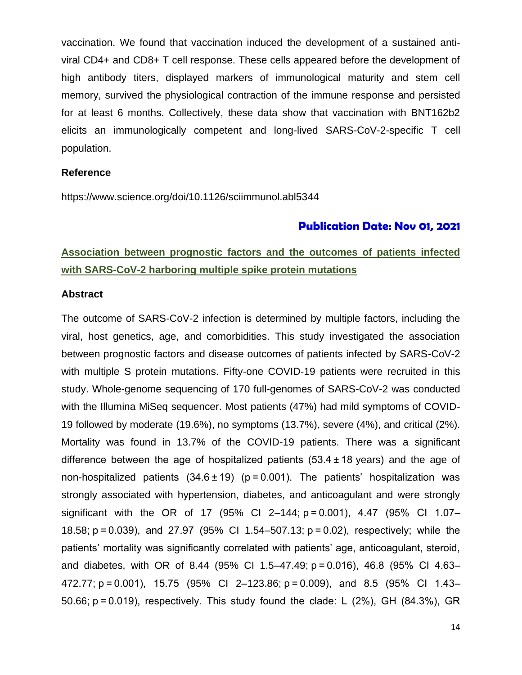vaccination. We found that vaccination induced the development of a sustained antiviral CD4+ and CD8+ T cell response. These cells appeared before the development of high antibody titers, displayed markers of immunological maturity and stem cell memory, survived the physiological contraction of the immune response and persisted for at least 6 months. Collectively, these data show that vaccination with BNT162b2 elicits an immunologically competent and long-lived SARS-CoV-2-specific T cell population.

#### **Reference**

https://www.science.org/doi/10.1126/sciimmunol.abl5344

### **Publication Date: Nov 01, 2021**

# **Association between prognostic factors and the outcomes of patients infected with SARS-CoV-2 harboring multiple spike protein mutations**

#### **Abstract**

The outcome of SARS-CoV-2 infection is determined by multiple factors, including the viral, host genetics, age, and comorbidities. This study investigated the association between prognostic factors and disease outcomes of patients infected by SARS-CoV-2 with multiple S protein mutations. Fifty-one COVID-19 patients were recruited in this study. Whole-genome sequencing of 170 full-genomes of SARS-CoV-2 was conducted with the Illumina MiSeq sequencer. Most patients (47%) had mild symptoms of COVID-19 followed by moderate (19.6%), no symptoms (13.7%), severe (4%), and critical (2%). Mortality was found in 13.7% of the COVID-19 patients. There was a significant difference between the age of hospitalized patients  $(53.4 \pm 18 \text{ years})$  and the age of non-hospitalized patients  $(34.6 \pm 19)$  (p = 0.001). The patients' hospitalization was strongly associated with hypertension, diabetes, and anticoagulant and were strongly significant with the OR of 17 (95% CI 2–144; p = 0.001), 4.47 (95% CI 1.07– 18.58; p = 0.039), and 27.97 (95% CI 1.54–507.13; p = 0.02), respectively; while the patients' mortality was significantly correlated with patients' age, anticoagulant, steroid, and diabetes, with OR of 8.44 (95% CI 1.5–47.49; p = 0.016), 46.8 (95% CI 4.63– 472.77; p = 0.001), 15.75 (95% CI 2–123.86; p = 0.009), and 8.5 (95% CI 1.43– 50.66; p = 0.019), respectively. This study found the clade: L (2%), GH (84.3%), GR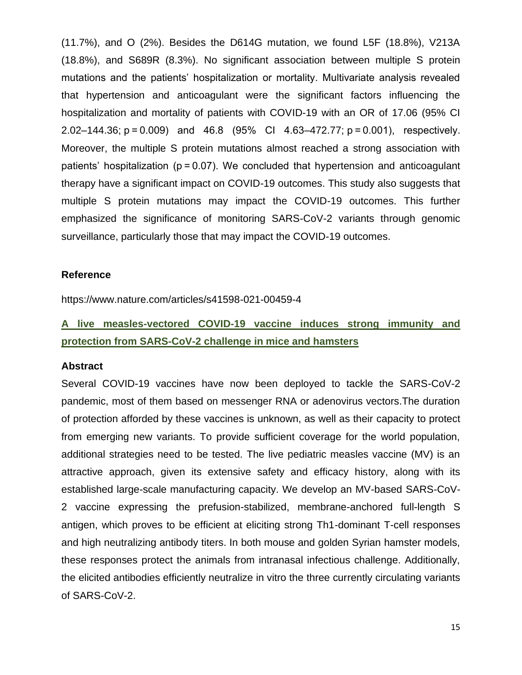(11.7%), and O (2%). Besides the D614G mutation, we found L5F (18.8%), V213A (18.8%), and S689R (8.3%). No significant association between multiple S protein mutations and the patients' hospitalization or mortality. Multivariate analysis revealed that hypertension and anticoagulant were the significant factors influencing the hospitalization and mortality of patients with COVID-19 with an OR of 17.06 (95% CI 2.02–144.36; p = 0.009) and 46.8 (95% CI 4.63–472.77; p = 0.001), respectively. Moreover, the multiple S protein mutations almost reached a strong association with patients' hospitalization ( $p = 0.07$ ). We concluded that hypertension and anticoagulant therapy have a significant impact on COVID-19 outcomes. This study also suggests that multiple S protein mutations may impact the COVID-19 outcomes. This further emphasized the significance of monitoring SARS-CoV-2 variants through genomic surveillance, particularly those that may impact the COVID-19 outcomes.

#### **Reference**

https://www.nature.com/articles/s41598-021-00459-4

# **A live measles-vectored COVID-19 vaccine induces strong immunity and protection from SARS-CoV-2 challenge in mice and hamsters**

#### **Abstract**

Several COVID-19 vaccines have now been deployed to tackle the SARS-CoV-2 pandemic, most of them based on messenger RNA or adenovirus vectors.The duration of protection afforded by these vaccines is unknown, as well as their capacity to protect from emerging new variants. To provide sufficient coverage for the world population, additional strategies need to be tested. The live pediatric measles vaccine (MV) is an attractive approach, given its extensive safety and efficacy history, along with its established large-scale manufacturing capacity. We develop an MV-based SARS-CoV-2 vaccine expressing the prefusion-stabilized, membrane-anchored full-length S antigen, which proves to be efficient at eliciting strong Th1-dominant T-cell responses and high neutralizing antibody titers. In both mouse and golden Syrian hamster models, these responses protect the animals from intranasal infectious challenge. Additionally, the elicited antibodies efficiently neutralize in vitro the three currently circulating variants of SARS-CoV-2.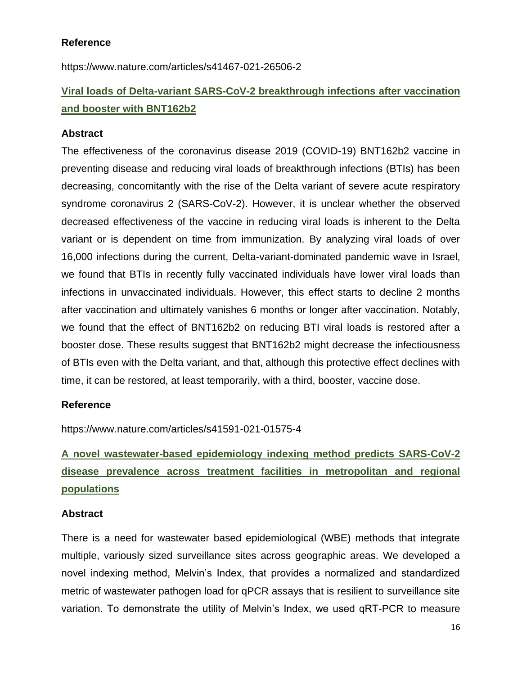### **Reference**

https://www.nature.com/articles/s41467-021-26506-2

# **Viral loads of Delta-variant SARS-CoV-2 breakthrough infections after vaccination and booster with BNT162b2**

### **Abstract**

The effectiveness of the coronavirus disease 2019 (COVID-19) BNT162b2 vaccine in preventing disease and reducing viral loads of breakthrough infections (BTIs) has been decreasing, concomitantly with the rise of the Delta variant of severe acute respiratory syndrome coronavirus 2 (SARS-CoV-2). However, it is unclear whether the observed decreased effectiveness of the vaccine in reducing viral loads is inherent to the Delta variant or is dependent on time from immunization. By analyzing viral loads of over 16,000 infections during the current, Delta-variant-dominated pandemic wave in Israel, we found that BTIs in recently fully vaccinated individuals have lower viral loads than infections in unvaccinated individuals. However, this effect starts to decline 2 months after vaccination and ultimately vanishes 6 months or longer after vaccination. Notably, we found that the effect of BNT162b2 on reducing BTI viral loads is restored after a booster dose. These results suggest that BNT162b2 might decrease the infectiousness of BTIs even with the Delta variant, and that, although this protective effect declines with time, it can be restored, at least temporarily, with a third, booster, vaccine dose.

### **Reference**

https://www.nature.com/articles/s41591-021-01575-4

# **A novel wastewater-based epidemiology indexing method predicts SARS-CoV-2 disease prevalence across treatment facilities in metropolitan and regional populations**

#### **Abstract**

There is a need for wastewater based epidemiological (WBE) methods that integrate multiple, variously sized surveillance sites across geographic areas. We developed a novel indexing method, Melvin's Index, that provides a normalized and standardized metric of wastewater pathogen load for qPCR assays that is resilient to surveillance site variation. To demonstrate the utility of Melvin's Index, we used qRT-PCR to measure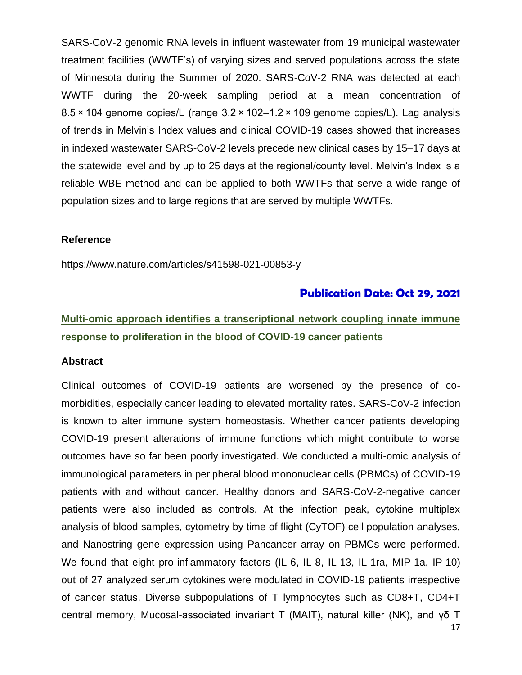SARS-CoV-2 genomic RNA levels in influent wastewater from 19 municipal wastewater treatment facilities (WWTF's) of varying sizes and served populations across the state of Minnesota during the Summer of 2020. SARS-CoV-2 RNA was detected at each WWTF during the 20-week sampling period at a mean concentration of 8.5 × 104 genome copies/L (range 3.2 × 102–1.2 × 109 genome copies/L). Lag analysis of trends in Melvin's Index values and clinical COVID-19 cases showed that increases in indexed wastewater SARS-CoV-2 levels precede new clinical cases by 15–17 days at the statewide level and by up to 25 days at the regional/county level. Melvin's Index is a reliable WBE method and can be applied to both WWTFs that serve a wide range of population sizes and to large regions that are served by multiple WWTFs.

#### **Reference**

https://www.nature.com/articles/s41598-021-00853-y

# **Publication Date: Oct 29, 2021**

# **Multi-omic approach identifies a transcriptional network coupling innate immune response to proliferation in the blood of COVID-19 cancer patients**

#### **Abstract**

Clinical outcomes of COVID-19 patients are worsened by the presence of comorbidities, especially cancer leading to elevated mortality rates. SARS-CoV-2 infection is known to alter immune system homeostasis. Whether cancer patients developing COVID-19 present alterations of immune functions which might contribute to worse outcomes have so far been poorly investigated. We conducted a multi-omic analysis of immunological parameters in peripheral blood mononuclear cells (PBMCs) of COVID-19 patients with and without cancer. Healthy donors and SARS-CoV-2-negative cancer patients were also included as controls. At the infection peak, cytokine multiplex analysis of blood samples, cytometry by time of flight (CyTOF) cell population analyses, and Nanostring gene expression using Pancancer array on PBMCs were performed. We found that eight pro-inflammatory factors (IL-6, IL-8, IL-13, IL-1ra, MIP-1a, IP-10) out of 27 analyzed serum cytokines were modulated in COVID-19 patients irrespective of cancer status. Diverse subpopulations of T lymphocytes such as CD8+T, CD4+T central memory, Mucosal-associated invariant T (MAIT), natural killer (NK), and γδ T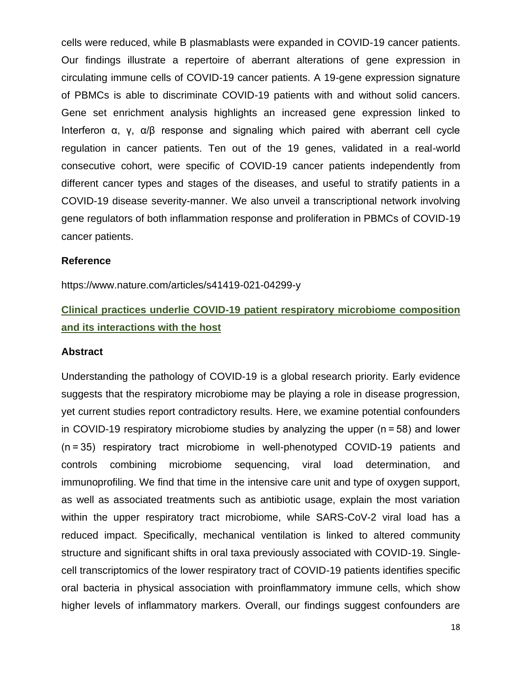cells were reduced, while B plasmablasts were expanded in COVID-19 cancer patients. Our findings illustrate a repertoire of aberrant alterations of gene expression in circulating immune cells of COVID-19 cancer patients. A 19-gene expression signature of PBMCs is able to discriminate COVID-19 patients with and without solid cancers. Gene set enrichment analysis highlights an increased gene expression linked to Interferon α, γ, α/β response and signaling which paired with aberrant cell cycle regulation in cancer patients. Ten out of the 19 genes, validated in a real-world consecutive cohort, were specific of COVID-19 cancer patients independently from different cancer types and stages of the diseases, and useful to stratify patients in a COVID-19 disease severity-manner. We also unveil a transcriptional network involving gene regulators of both inflammation response and proliferation in PBMCs of COVID-19 cancer patients.

#### **Reference**

https://www.nature.com/articles/s41419-021-04299-y

# **Clinical practices underlie COVID-19 patient respiratory microbiome composition and its interactions with the host**

#### **Abstract**

Understanding the pathology of COVID-19 is a global research priority. Early evidence suggests that the respiratory microbiome may be playing a role in disease progression, yet current studies report contradictory results. Here, we examine potential confounders in COVID-19 respiratory microbiome studies by analyzing the upper (n = 58) and lower (n = 35) respiratory tract microbiome in well-phenotyped COVID-19 patients and controls combining microbiome sequencing, viral load determination, and immunoprofiling. We find that time in the intensive care unit and type of oxygen support, as well as associated treatments such as antibiotic usage, explain the most variation within the upper respiratory tract microbiome, while SARS-CoV-2 viral load has a reduced impact. Specifically, mechanical ventilation is linked to altered community structure and significant shifts in oral taxa previously associated with COVID-19. Singlecell transcriptomics of the lower respiratory tract of COVID-19 patients identifies specific oral bacteria in physical association with proinflammatory immune cells, which show higher levels of inflammatory markers. Overall, our findings suggest confounders are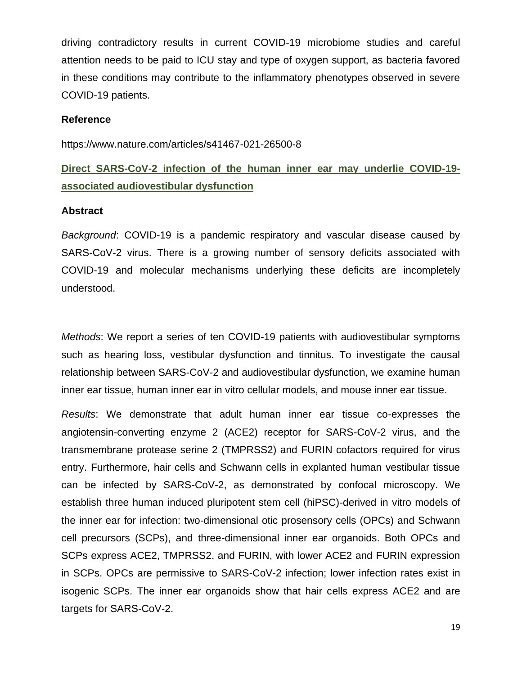driving contradictory results in current COVID-19 microbiome studies and careful attention needs to be paid to ICU stay and type of oxygen support, as bacteria favored in these conditions may contribute to the inflammatory phenotypes observed in severe COVID-19 patients.

### **Reference**

https://www.nature.com/articles/s41467-021-26500-8

# **Direct SARS-CoV-2 infection of the human inner ear may underlie COVID-19 associated audiovestibular dysfunction**

#### **Abstract**

*Background*: COVID-19 is a pandemic respiratory and vascular disease caused by SARS-CoV-2 virus. There is a growing number of sensory deficits associated with COVID-19 and molecular mechanisms underlying these deficits are incompletely understood.

*Methods*: We report a series of ten COVID-19 patients with audiovestibular symptoms such as hearing loss, vestibular dysfunction and tinnitus. To investigate the causal relationship between SARS-CoV-2 and audiovestibular dysfunction, we examine human inner ear tissue, human inner ear in vitro cellular models, and mouse inner ear tissue.

*Results*: We demonstrate that adult human inner ear tissue co-expresses the angiotensin-converting enzyme 2 (ACE2) receptor for SARS-CoV-2 virus, and the transmembrane protease serine 2 (TMPRSS2) and FURIN cofactors required for virus entry. Furthermore, hair cells and Schwann cells in explanted human vestibular tissue can be infected by SARS-CoV-2, as demonstrated by confocal microscopy. We establish three human induced pluripotent stem cell (hiPSC)-derived in vitro models of the inner ear for infection: two-dimensional otic prosensory cells (OPCs) and Schwann cell precursors (SCPs), and three-dimensional inner ear organoids. Both OPCs and SCPs express ACE2, TMPRSS2, and FURIN, with lower ACE2 and FURIN expression in SCPs. OPCs are permissive to SARS-CoV-2 infection; lower infection rates exist in isogenic SCPs. The inner ear organoids show that hair cells express ACE2 and are targets for SARS-CoV-2.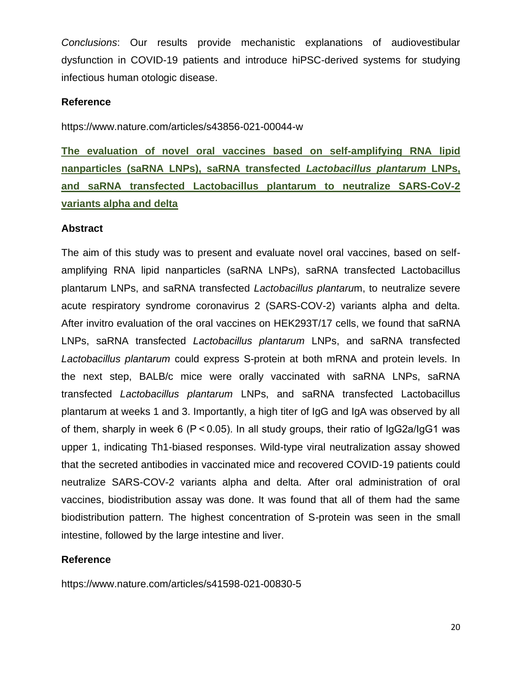*Conclusions*: Our results provide mechanistic explanations of audiovestibular dysfunction in COVID-19 patients and introduce hiPSC-derived systems for studying infectious human otologic disease.

#### **Reference**

https://www.nature.com/articles/s43856-021-00044-w

**The evaluation of novel oral vaccines based on self-amplifying RNA lipid nanparticles (saRNA LNPs), saRNA transfected** *Lactobacillus plantarum* **LNPs, and saRNA transfected Lactobacillus plantarum to neutralize SARS-CoV-2 variants alpha and delta**

#### **Abstract**

The aim of this study was to present and evaluate novel oral vaccines, based on selfamplifying RNA lipid nanparticles (saRNA LNPs), saRNA transfected Lactobacillus plantarum LNPs, and saRNA transfected *Lactobacillus plantaru*m, to neutralize severe acute respiratory syndrome coronavirus 2 (SARS-COV-2) variants alpha and delta. After invitro evaluation of the oral vaccines on HEK293T/17 cells, we found that saRNA LNPs, saRNA transfected *Lactobacillus plantarum* LNPs, and saRNA transfected *Lactobacillus plantarum* could express S-protein at both mRNA and protein levels. In the next step, BALB/c mice were orally vaccinated with saRNA LNPs, saRNA transfected *Lactobacillus plantarum* LNPs, and saRNA transfected Lactobacillus plantarum at weeks 1 and 3. Importantly, a high titer of IgG and IgA was observed by all of them, sharply in week 6 (P < 0.05). In all study groups, their ratio of IgG2a/IgG1 was upper 1, indicating Th1-biased responses. Wild-type viral neutralization assay showed that the secreted antibodies in vaccinated mice and recovered COVID-19 patients could neutralize SARS-COV-2 variants alpha and delta. After oral administration of oral vaccines, biodistribution assay was done. It was found that all of them had the same biodistribution pattern. The highest concentration of S-protein was seen in the small intestine, followed by the large intestine and liver.

### **Reference**

https://www.nature.com/articles/s41598-021-00830-5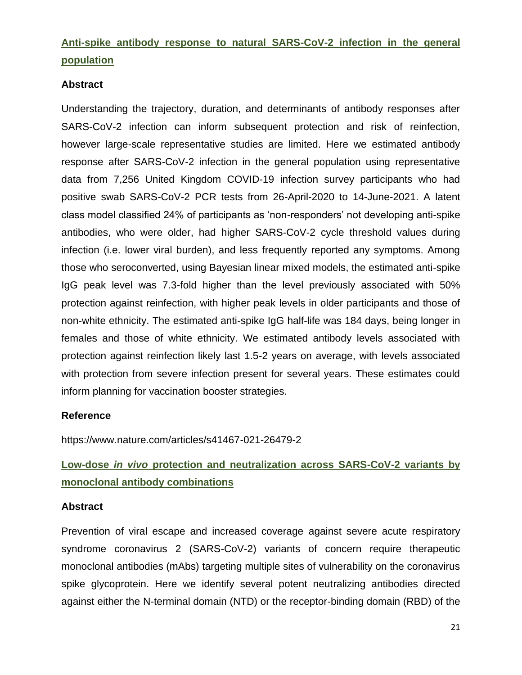# **Anti-spike antibody response to natural SARS-CoV-2 infection in the general population**

### **Abstract**

Understanding the trajectory, duration, and determinants of antibody responses after SARS-CoV-2 infection can inform subsequent protection and risk of reinfection, however large-scale representative studies are limited. Here we estimated antibody response after SARS-CoV-2 infection in the general population using representative data from 7,256 United Kingdom COVID-19 infection survey participants who had positive swab SARS-CoV-2 PCR tests from 26-April-2020 to 14-June-2021. A latent class model classified 24% of participants as 'non-responders' not developing anti-spike antibodies, who were older, had higher SARS-CoV-2 cycle threshold values during infection (i.e. lower viral burden), and less frequently reported any symptoms. Among those who seroconverted, using Bayesian linear mixed models, the estimated anti-spike IgG peak level was 7.3-fold higher than the level previously associated with 50% protection against reinfection, with higher peak levels in older participants and those of non-white ethnicity. The estimated anti-spike IgG half-life was 184 days, being longer in females and those of white ethnicity. We estimated antibody levels associated with protection against reinfection likely last 1.5-2 years on average, with levels associated with protection from severe infection present for several years. These estimates could inform planning for vaccination booster strategies.

### **Reference**

https://www.nature.com/articles/s41467-021-26479-2

**Low-dose** *in vivo* **protection and neutralization across SARS-CoV-2 variants by monoclonal antibody combinations**

#### **Abstract**

Prevention of viral escape and increased coverage against severe acute respiratory syndrome coronavirus 2 (SARS-CoV-2) variants of concern require therapeutic monoclonal antibodies (mAbs) targeting multiple sites of vulnerability on the coronavirus spike glycoprotein. Here we identify several potent neutralizing antibodies directed against either the N-terminal domain (NTD) or the receptor-binding domain (RBD) of the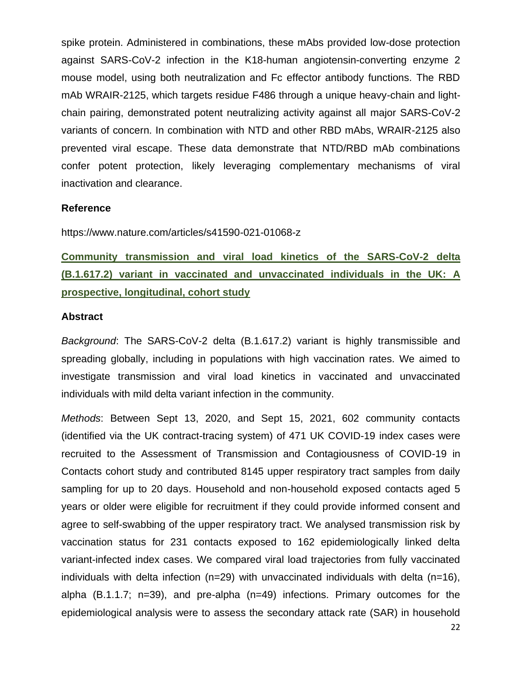spike protein. Administered in combinations, these mAbs provided low-dose protection against SARS-CoV-2 infection in the K18-human angiotensin-converting enzyme 2 mouse model, using both neutralization and Fc effector antibody functions. The RBD mAb WRAIR-2125, which targets residue F486 through a unique heavy-chain and lightchain pairing, demonstrated potent neutralizing activity against all major SARS-CoV-2 variants of concern. In combination with NTD and other RBD mAbs, WRAIR-2125 also prevented viral escape. These data demonstrate that NTD/RBD mAb combinations confer potent protection, likely leveraging complementary mechanisms of viral inactivation and clearance.

#### **Reference**

https://www.nature.com/articles/s41590-021-01068-z

**Community transmission and viral load kinetics of the SARS-CoV-2 delta (B.1.617.2) variant in vaccinated and unvaccinated individuals in the UK: A prospective, longitudinal, cohort study**

#### **Abstract**

*Background*: The SARS-CoV-2 delta (B.1.617.2) variant is highly transmissible and spreading globally, including in populations with high vaccination rates. We aimed to investigate transmission and viral load kinetics in vaccinated and unvaccinated individuals with mild delta variant infection in the community.

*Methods*: Between Sept 13, 2020, and Sept 15, 2021, 602 community contacts (identified via the UK contract-tracing system) of 471 UK COVID-19 index cases were recruited to the Assessment of Transmission and Contagiousness of COVID-19 in Contacts cohort study and contributed 8145 upper respiratory tract samples from daily sampling for up to 20 days. Household and non-household exposed contacts aged 5 years or older were eligible for recruitment if they could provide informed consent and agree to self-swabbing of the upper respiratory tract. We analysed transmission risk by vaccination status for 231 contacts exposed to 162 epidemiologically linked delta variant-infected index cases. We compared viral load trajectories from fully vaccinated individuals with delta infection (n=29) with unvaccinated individuals with delta (n=16), alpha (B.1.1.7; n=39), and pre-alpha (n=49) infections. Primary outcomes for the epidemiological analysis were to assess the secondary attack rate (SAR) in household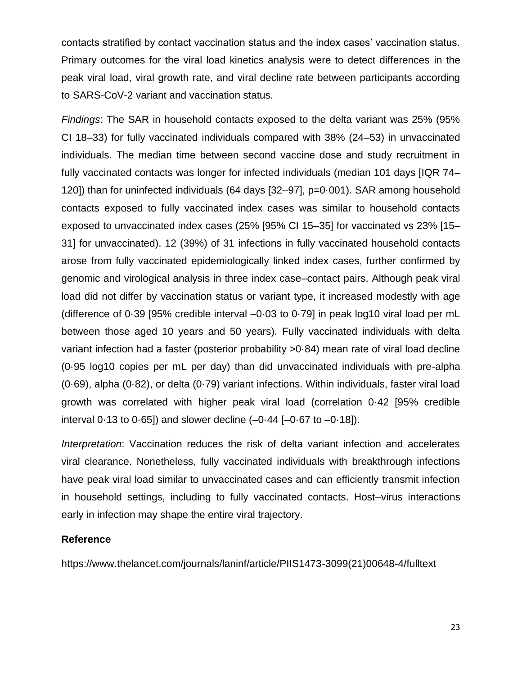contacts stratified by contact vaccination status and the index cases' vaccination status. Primary outcomes for the viral load kinetics analysis were to detect differences in the peak viral load, viral growth rate, and viral decline rate between participants according to SARS-CoV-2 variant and vaccination status.

*Findings*: The SAR in household contacts exposed to the delta variant was 25% (95% CI 18–33) for fully vaccinated individuals compared with 38% (24–53) in unvaccinated individuals. The median time between second vaccine dose and study recruitment in fully vaccinated contacts was longer for infected individuals (median 101 days [IQR 74– 120]) than for uninfected individuals (64 days [32–97], p=0·001). SAR among household contacts exposed to fully vaccinated index cases was similar to household contacts exposed to unvaccinated index cases (25% [95% CI 15–35] for vaccinated vs 23% [15– 31] for unvaccinated). 12 (39%) of 31 infections in fully vaccinated household contacts arose from fully vaccinated epidemiologically linked index cases, further confirmed by genomic and virological analysis in three index case–contact pairs. Although peak viral load did not differ by vaccination status or variant type, it increased modestly with age (difference of 0·39 [95% credible interval –0·03 to 0·79] in peak log10 viral load per mL between those aged 10 years and 50 years). Fully vaccinated individuals with delta variant infection had a faster (posterior probability >0·84) mean rate of viral load decline (0·95 log10 copies per mL per day) than did unvaccinated individuals with pre-alpha (0·69), alpha (0·82), or delta (0·79) variant infections. Within individuals, faster viral load growth was correlated with higher peak viral load (correlation 0·42 [95% credible interval  $0.13$  to  $0.65$ ]) and slower decline  $(-0.44$   $[-0.67$  to  $-0.18]$ ).

*Interpretation*: Vaccination reduces the risk of delta variant infection and accelerates viral clearance. Nonetheless, fully vaccinated individuals with breakthrough infections have peak viral load similar to unvaccinated cases and can efficiently transmit infection in household settings, including to fully vaccinated contacts. Host–virus interactions early in infection may shape the entire viral trajectory.

### **Reference**

https://www.thelancet.com/journals/laninf/article/PIIS1473-3099(21)00648-4/fulltext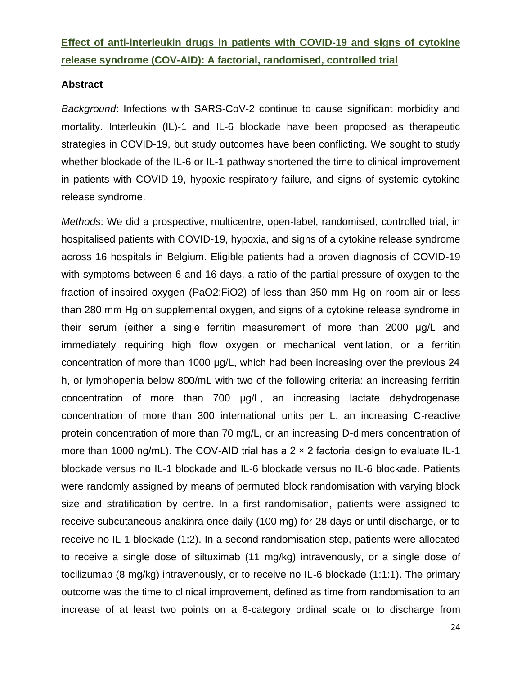# **Effect of anti-interleukin drugs in patients with COVID-19 and signs of cytokine release syndrome (COV-AID): A factorial, randomised, controlled trial**

### **Abstract**

*Background*: Infections with SARS-CoV-2 continue to cause significant morbidity and mortality. Interleukin (IL)-1 and IL-6 blockade have been proposed as therapeutic strategies in COVID-19, but study outcomes have been conflicting. We sought to study whether blockade of the IL-6 or IL-1 pathway shortened the time to clinical improvement in patients with COVID-19, hypoxic respiratory failure, and signs of systemic cytokine release syndrome.

*Methods*: We did a prospective, multicentre, open-label, randomised, controlled trial, in hospitalised patients with COVID-19, hypoxia, and signs of a cytokine release syndrome across 16 hospitals in Belgium. Eligible patients had a proven diagnosis of COVID-19 with symptoms between 6 and 16 days, a ratio of the partial pressure of oxygen to the fraction of inspired oxygen (PaO2:FiO2) of less than 350 mm Hg on room air or less than 280 mm Hg on supplemental oxygen, and signs of a cytokine release syndrome in their serum (either a single ferritin measurement of more than 2000 μg/L and immediately requiring high flow oxygen or mechanical ventilation, or a ferritin concentration of more than 1000 μg/L, which had been increasing over the previous 24 h, or lymphopenia below 800/mL with two of the following criteria: an increasing ferritin concentration of more than 700 μg/L, an increasing lactate dehydrogenase concentration of more than 300 international units per L, an increasing C-reactive protein concentration of more than 70 mg/L, or an increasing D-dimers concentration of more than 1000 ng/mL). The COV-AID trial has a 2 × 2 factorial design to evaluate IL-1 blockade versus no IL-1 blockade and IL-6 blockade versus no IL-6 blockade. Patients were randomly assigned by means of permuted block randomisation with varying block size and stratification by centre. In a first randomisation, patients were assigned to receive subcutaneous anakinra once daily (100 mg) for 28 days or until discharge, or to receive no IL-1 blockade (1:2). In a second randomisation step, patients were allocated to receive a single dose of siltuximab (11 mg/kg) intravenously, or a single dose of tocilizumab (8 mg/kg) intravenously, or to receive no IL-6 blockade (1:1:1). The primary outcome was the time to clinical improvement, defined as time from randomisation to an increase of at least two points on a 6-category ordinal scale or to discharge from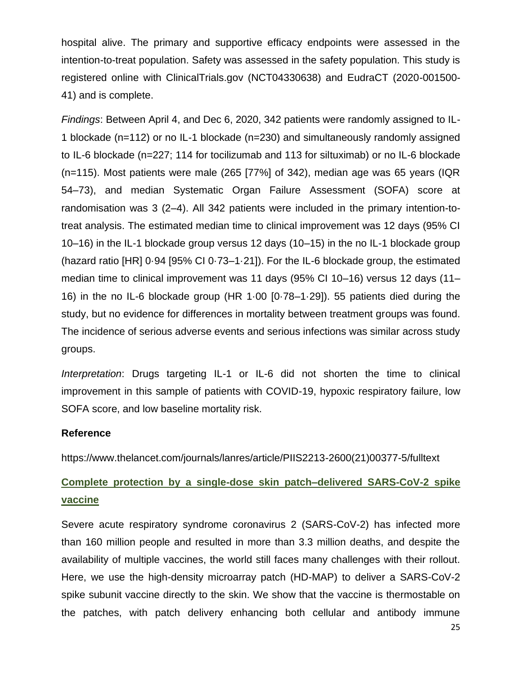hospital alive. The primary and supportive efficacy endpoints were assessed in the intention-to-treat population. Safety was assessed in the safety population. This study is registered online with ClinicalTrials.gov (NCT04330638) and EudraCT (2020-001500- 41) and is complete.

*Findings*: Between April 4, and Dec 6, 2020, 342 patients were randomly assigned to IL-1 blockade (n=112) or no IL-1 blockade (n=230) and simultaneously randomly assigned to IL-6 blockade (n=227; 114 for tocilizumab and 113 for siltuximab) or no IL-6 blockade (n=115). Most patients were male (265 [77%] of 342), median age was 65 years (IQR 54–73), and median Systematic Organ Failure Assessment (SOFA) score at randomisation was 3 (2–4). All 342 patients were included in the primary intention-totreat analysis. The estimated median time to clinical improvement was 12 days (95% CI 10–16) in the IL-1 blockade group versus 12 days (10–15) in the no IL-1 blockade group (hazard ratio [HR] 0·94 [95% CI 0·73–1·21]). For the IL-6 blockade group, the estimated median time to clinical improvement was 11 days (95% CI 10–16) versus 12 days (11– 16) in the no IL-6 blockade group (HR 1·00 [0·78–1·29]). 55 patients died during the study, but no evidence for differences in mortality between treatment groups was found. The incidence of serious adverse events and serious infections was similar across study groups.

*Interpretation*: Drugs targeting IL-1 or IL-6 did not shorten the time to clinical improvement in this sample of patients with COVID-19, hypoxic respiratory failure, low SOFA score, and low baseline mortality risk.

#### **Reference**

https://www.thelancet.com/journals/lanres/article/PIIS2213-2600(21)00377-5/fulltext

# **Complete protection by a single-dose skin patch–delivered SARS-CoV-2 spike vaccine**

Severe acute respiratory syndrome coronavirus 2 (SARS-CoV-2) has infected more than 160 million people and resulted in more than 3.3 million deaths, and despite the availability of multiple vaccines, the world still faces many challenges with their rollout. Here, we use the high-density microarray patch (HD-MAP) to deliver a SARS-CoV-2 spike subunit vaccine directly to the skin. We show that the vaccine is thermostable on the patches, with patch delivery enhancing both cellular and antibody immune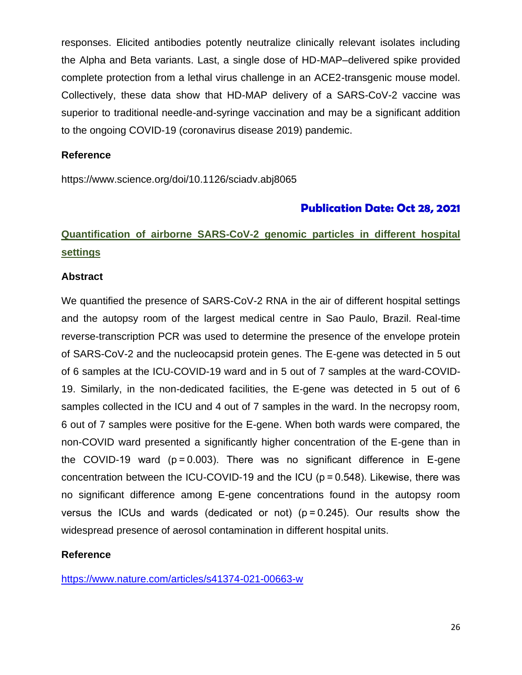responses. Elicited antibodies potently neutralize clinically relevant isolates including the Alpha and Beta variants. Last, a single dose of HD-MAP–delivered spike provided complete protection from a lethal virus challenge in an ACE2-transgenic mouse model. Collectively, these data show that HD-MAP delivery of a SARS-CoV-2 vaccine was superior to traditional needle-and-syringe vaccination and may be a significant addition to the ongoing COVID-19 (coronavirus disease 2019) pandemic.

### **Reference**

https://www.science.org/doi/10.1126/sciadv.abj8065

# **Publication Date: Oct 28, 2021**

# **Quantification of airborne SARS-CoV-2 genomic particles in different hospital settings**

#### **Abstract**

We quantified the presence of SARS-CoV-2 RNA in the air of different hospital settings and the autopsy room of the largest medical centre in Sao Paulo, Brazil. Real-time reverse-transcription PCR was used to determine the presence of the envelope protein of SARS-CoV-2 and the nucleocapsid protein genes. The E-gene was detected in 5 out of 6 samples at the ICU-COVID-19 ward and in 5 out of 7 samples at the ward-COVID-19. Similarly, in the non-dedicated facilities, the E-gene was detected in 5 out of 6 samples collected in the ICU and 4 out of 7 samples in the ward. In the necropsy room, 6 out of 7 samples were positive for the E-gene. When both wards were compared, the non-COVID ward presented a significantly higher concentration of the E-gene than in the COVID-19 ward ( $p = 0.003$ ). There was no significant difference in E-gene concentration between the ICU-COVID-19 and the ICU ( $p = 0.548$ ). Likewise, there was no significant difference among E-gene concentrations found in the autopsy room versus the ICUs and wards (dedicated or not) ( $p = 0.245$ ). Our results show the widespread presence of aerosol contamination in different hospital units.

#### **Reference**

<https://www.nature.com/articles/s41374-021-00663-w>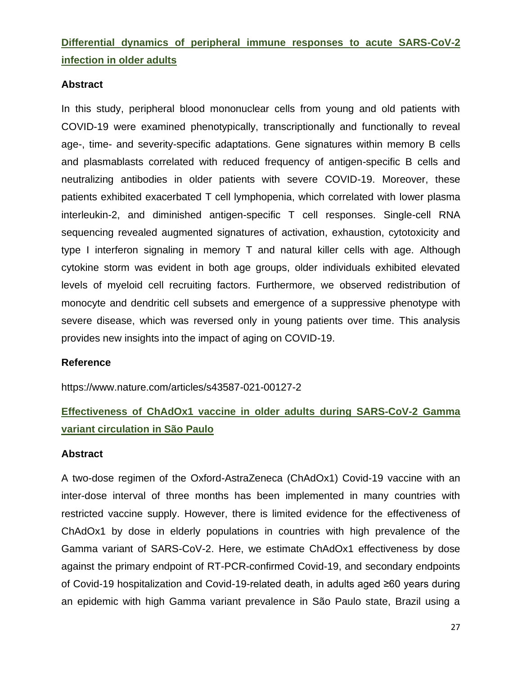# **Differential dynamics of peripheral immune responses to acute SARS-CoV-2 infection in older adults**

### **Abstract**

In this study, peripheral blood mononuclear cells from young and old patients with COVID-19 were examined phenotypically, transcriptionally and functionally to reveal age-, time- and severity-specific adaptations. Gene signatures within memory B cells and plasmablasts correlated with reduced frequency of antigen-specific B cells and neutralizing antibodies in older patients with severe COVID-19. Moreover, these patients exhibited exacerbated T cell lymphopenia, which correlated with lower plasma interleukin-2, and diminished antigen-specific T cell responses. Single-cell RNA sequencing revealed augmented signatures of activation, exhaustion, cytotoxicity and type I interferon signaling in memory T and natural killer cells with age. Although cytokine storm was evident in both age groups, older individuals exhibited elevated levels of myeloid cell recruiting factors. Furthermore, we observed redistribution of monocyte and dendritic cell subsets and emergence of a suppressive phenotype with severe disease, which was reversed only in young patients over time. This analysis provides new insights into the impact of aging on COVID-19.

### **Reference**

https://www.nature.com/articles/s43587-021-00127-2

# **Effectiveness of ChAdOx1 vaccine in older adults during SARS-CoV-2 Gamma variant circulation in São Paulo**

### **Abstract**

A two-dose regimen of the Oxford-AstraZeneca (ChAdOx1) Covid-19 vaccine with an inter-dose interval of three months has been implemented in many countries with restricted vaccine supply. However, there is limited evidence for the effectiveness of ChAdOx1 by dose in elderly populations in countries with high prevalence of the Gamma variant of SARS-CoV-2. Here, we estimate ChAdOx1 effectiveness by dose against the primary endpoint of RT-PCR-confirmed Covid-19, and secondary endpoints of Covid-19 hospitalization and Covid-19-related death, in adults aged ≥60 years during an epidemic with high Gamma variant prevalence in São Paulo state, Brazil using a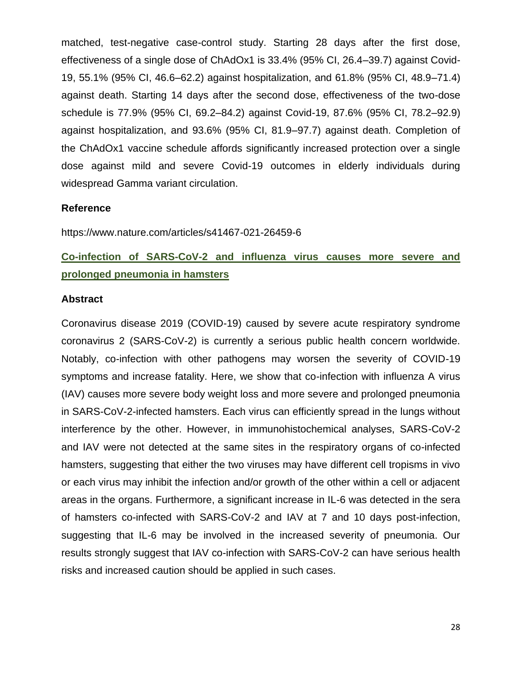matched, test-negative case-control study. Starting 28 days after the first dose, effectiveness of a single dose of ChAdOx1 is 33.4% (95% CI, 26.4–39.7) against Covid-19, 55.1% (95% CI, 46.6–62.2) against hospitalization, and 61.8% (95% CI, 48.9–71.4) against death. Starting 14 days after the second dose, effectiveness of the two-dose schedule is 77.9% (95% CI, 69.2–84.2) against Covid-19, 87.6% (95% CI, 78.2–92.9) against hospitalization, and 93.6% (95% CI, 81.9–97.7) against death. Completion of the ChAdOx1 vaccine schedule affords significantly increased protection over a single dose against mild and severe Covid-19 outcomes in elderly individuals during widespread Gamma variant circulation.

#### **Reference**

https://www.nature.com/articles/s41467-021-26459-6

# **Co-infection of SARS-CoV-2 and influenza virus causes more severe and prolonged pneumonia in hamsters**

#### **Abstract**

Coronavirus disease 2019 (COVID-19) caused by severe acute respiratory syndrome coronavirus 2 (SARS-CoV-2) is currently a serious public health concern worldwide. Notably, co-infection with other pathogens may worsen the severity of COVID-19 symptoms and increase fatality. Here, we show that co-infection with influenza A virus (IAV) causes more severe body weight loss and more severe and prolonged pneumonia in SARS-CoV-2-infected hamsters. Each virus can efficiently spread in the lungs without interference by the other. However, in immunohistochemical analyses, SARS-CoV-2 and IAV were not detected at the same sites in the respiratory organs of co-infected hamsters, suggesting that either the two viruses may have different cell tropisms in vivo or each virus may inhibit the infection and/or growth of the other within a cell or adjacent areas in the organs. Furthermore, a significant increase in IL-6 was detected in the sera of hamsters co-infected with SARS-CoV-2 and IAV at 7 and 10 days post-infection, suggesting that IL-6 may be involved in the increased severity of pneumonia. Our results strongly suggest that IAV co-infection with SARS-CoV-2 can have serious health risks and increased caution should be applied in such cases.